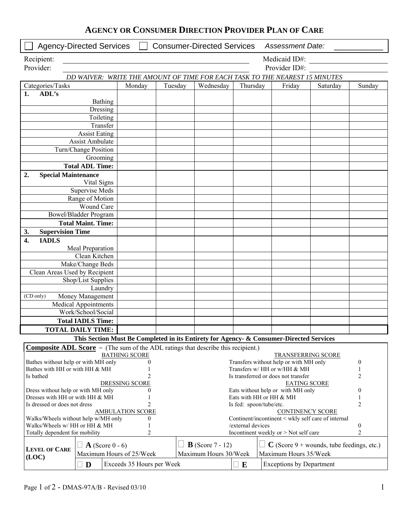|  | <b>AGENCY OR CONSUMER DIRECTION PROVIDER PLAN OF CARE</b> |  |  |  |  |
|--|-----------------------------------------------------------|--|--|--|--|
|--|-----------------------------------------------------------|--|--|--|--|

| Medicaid ID#:<br>Recipient:<br>Provider:<br>Provider ID#:<br>DD WAIVER: WRITE THE AMOUNT OF TIME FOR EACH TASK TO THE NEAREST 15 MINUTES<br>Categories/Tasks<br>Wednesday<br>Monday<br>Tuesday<br>Thursday<br>Friday<br>Sunday<br>Saturday<br>ADL's<br>1.<br><b>Bathing</b><br>Dressing<br>Toileting<br>Transfer<br><b>Assist Eating</b><br><b>Assist Ambulate</b><br>Turn/Change Position<br>Grooming<br><b>Total ADL Time:</b><br>2.<br><b>Special Maintenance</b><br>Vital Signs<br>Supervise Meds<br>Range of Motion<br>Wound Care<br><b>Bowel/Bladder Program</b><br><b>Total Maint. Time:</b><br><b>Supervision Time</b><br>3.<br><b>IADLS</b><br>$\overline{4}$ .<br>Meal Preparation<br>Clean Kitchen<br>Make/Change Beds<br>Clean Areas Used by Recipient<br>Shop/List Supplies<br>Laundry<br>Money Management<br>(CD only)<br>Medical Appointments<br>Work/School/Social<br><b>Total IADLS Time:</b><br><b>TOTAL DAILY TIME:</b><br>This Section Must Be Completed in its Entirety for Agency- & Consumer-Directed Services<br><b>Composite ADL Score</b> = (The sum of the ADL ratings that describe this recipient.)<br><b>BATHING SCORE</b><br><b>TRANSFERRING SCORE</b><br>Bathes without help or with MH only<br>Transfers without help or with MH only<br>$\boldsymbol{0}$<br>Bathes with HH or with HH & MH<br>Transfers w/ HH or w/HH & MH<br>$\overline{2}$<br>Is bathed<br>Is transferred or does not transfer<br>2<br><b>DRESSING SCORE</b><br><b>EATING SCORE</b><br>Dress without help or with MH only<br>Eats without help or with MH only<br>0<br>Dresses with HH or with HH & MH<br>Eats with HH or HH & MH<br>2<br>Is dressed or does not dress<br>Is fed: spoon/tube/etc.<br>2<br><b>AMBULATION SCORE</b><br><b>CONTINENCY SCORE</b><br>Walks/Wheels without help w/MH only<br>Continent/incontinent < wkly self care of internal<br>0<br>Walks/Wheels w/ HH or HH & MH<br>/external devices<br>$\boldsymbol{0}$<br>$\overline{c}$<br>Incontinent weekly or > Not self care<br>$\overline{2}$<br>Totally dependent for mobility<br>$C$ (Score 9 + wounds, tube feedings, etc.)<br><b>B</b> (Score $7 - 12$ )<br>$\mathbf{A}$ (Score 0 - 6)<br><b>LEVEL OF CARE</b><br>Maximum Hours of 25/Week<br>Maximum Hours 30/Week<br>Maximum Hours 35/Week<br>(LOC)<br>Exceeds 35 Hours per Week<br><b>Exceptions by Department</b><br>$\Box$ D<br>E |  | <b>Agency-Directed Services</b> |  |  | <b>Consumer-Directed Services</b> |  | <b>Assessment Date:</b> |  |  |
|------------------------------------------------------------------------------------------------------------------------------------------------------------------------------------------------------------------------------------------------------------------------------------------------------------------------------------------------------------------------------------------------------------------------------------------------------------------------------------------------------------------------------------------------------------------------------------------------------------------------------------------------------------------------------------------------------------------------------------------------------------------------------------------------------------------------------------------------------------------------------------------------------------------------------------------------------------------------------------------------------------------------------------------------------------------------------------------------------------------------------------------------------------------------------------------------------------------------------------------------------------------------------------------------------------------------------------------------------------------------------------------------------------------------------------------------------------------------------------------------------------------------------------------------------------------------------------------------------------------------------------------------------------------------------------------------------------------------------------------------------------------------------------------------------------------------------------------------------------------------------------------------------------------------------------------------------------------------------------------------------------------------------------------------------------------------------------------------------------------------------------------------------------------------------------------------------------------------------------------------------------------------------------------------------------------------------------------------------------------------|--|---------------------------------|--|--|-----------------------------------|--|-------------------------|--|--|
|                                                                                                                                                                                                                                                                                                                                                                                                                                                                                                                                                                                                                                                                                                                                                                                                                                                                                                                                                                                                                                                                                                                                                                                                                                                                                                                                                                                                                                                                                                                                                                                                                                                                                                                                                                                                                                                                                                                                                                                                                                                                                                                                                                                                                                                                                                                                                                        |  |                                 |  |  |                                   |  |                         |  |  |
|                                                                                                                                                                                                                                                                                                                                                                                                                                                                                                                                                                                                                                                                                                                                                                                                                                                                                                                                                                                                                                                                                                                                                                                                                                                                                                                                                                                                                                                                                                                                                                                                                                                                                                                                                                                                                                                                                                                                                                                                                                                                                                                                                                                                                                                                                                                                                                        |  |                                 |  |  |                                   |  |                         |  |  |
|                                                                                                                                                                                                                                                                                                                                                                                                                                                                                                                                                                                                                                                                                                                                                                                                                                                                                                                                                                                                                                                                                                                                                                                                                                                                                                                                                                                                                                                                                                                                                                                                                                                                                                                                                                                                                                                                                                                                                                                                                                                                                                                                                                                                                                                                                                                                                                        |  |                                 |  |  |                                   |  |                         |  |  |
|                                                                                                                                                                                                                                                                                                                                                                                                                                                                                                                                                                                                                                                                                                                                                                                                                                                                                                                                                                                                                                                                                                                                                                                                                                                                                                                                                                                                                                                                                                                                                                                                                                                                                                                                                                                                                                                                                                                                                                                                                                                                                                                                                                                                                                                                                                                                                                        |  |                                 |  |  |                                   |  |                         |  |  |
|                                                                                                                                                                                                                                                                                                                                                                                                                                                                                                                                                                                                                                                                                                                                                                                                                                                                                                                                                                                                                                                                                                                                                                                                                                                                                                                                                                                                                                                                                                                                                                                                                                                                                                                                                                                                                                                                                                                                                                                                                                                                                                                                                                                                                                                                                                                                                                        |  |                                 |  |  |                                   |  |                         |  |  |
|                                                                                                                                                                                                                                                                                                                                                                                                                                                                                                                                                                                                                                                                                                                                                                                                                                                                                                                                                                                                                                                                                                                                                                                                                                                                                                                                                                                                                                                                                                                                                                                                                                                                                                                                                                                                                                                                                                                                                                                                                                                                                                                                                                                                                                                                                                                                                                        |  |                                 |  |  |                                   |  |                         |  |  |
|                                                                                                                                                                                                                                                                                                                                                                                                                                                                                                                                                                                                                                                                                                                                                                                                                                                                                                                                                                                                                                                                                                                                                                                                                                                                                                                                                                                                                                                                                                                                                                                                                                                                                                                                                                                                                                                                                                                                                                                                                                                                                                                                                                                                                                                                                                                                                                        |  |                                 |  |  |                                   |  |                         |  |  |
|                                                                                                                                                                                                                                                                                                                                                                                                                                                                                                                                                                                                                                                                                                                                                                                                                                                                                                                                                                                                                                                                                                                                                                                                                                                                                                                                                                                                                                                                                                                                                                                                                                                                                                                                                                                                                                                                                                                                                                                                                                                                                                                                                                                                                                                                                                                                                                        |  |                                 |  |  |                                   |  |                         |  |  |
|                                                                                                                                                                                                                                                                                                                                                                                                                                                                                                                                                                                                                                                                                                                                                                                                                                                                                                                                                                                                                                                                                                                                                                                                                                                                                                                                                                                                                                                                                                                                                                                                                                                                                                                                                                                                                                                                                                                                                                                                                                                                                                                                                                                                                                                                                                                                                                        |  |                                 |  |  |                                   |  |                         |  |  |
|                                                                                                                                                                                                                                                                                                                                                                                                                                                                                                                                                                                                                                                                                                                                                                                                                                                                                                                                                                                                                                                                                                                                                                                                                                                                                                                                                                                                                                                                                                                                                                                                                                                                                                                                                                                                                                                                                                                                                                                                                                                                                                                                                                                                                                                                                                                                                                        |  |                                 |  |  |                                   |  |                         |  |  |
|                                                                                                                                                                                                                                                                                                                                                                                                                                                                                                                                                                                                                                                                                                                                                                                                                                                                                                                                                                                                                                                                                                                                                                                                                                                                                                                                                                                                                                                                                                                                                                                                                                                                                                                                                                                                                                                                                                                                                                                                                                                                                                                                                                                                                                                                                                                                                                        |  |                                 |  |  |                                   |  |                         |  |  |
|                                                                                                                                                                                                                                                                                                                                                                                                                                                                                                                                                                                                                                                                                                                                                                                                                                                                                                                                                                                                                                                                                                                                                                                                                                                                                                                                                                                                                                                                                                                                                                                                                                                                                                                                                                                                                                                                                                                                                                                                                                                                                                                                                                                                                                                                                                                                                                        |  |                                 |  |  |                                   |  |                         |  |  |
|                                                                                                                                                                                                                                                                                                                                                                                                                                                                                                                                                                                                                                                                                                                                                                                                                                                                                                                                                                                                                                                                                                                                                                                                                                                                                                                                                                                                                                                                                                                                                                                                                                                                                                                                                                                                                                                                                                                                                                                                                                                                                                                                                                                                                                                                                                                                                                        |  |                                 |  |  |                                   |  |                         |  |  |
|                                                                                                                                                                                                                                                                                                                                                                                                                                                                                                                                                                                                                                                                                                                                                                                                                                                                                                                                                                                                                                                                                                                                                                                                                                                                                                                                                                                                                                                                                                                                                                                                                                                                                                                                                                                                                                                                                                                                                                                                                                                                                                                                                                                                                                                                                                                                                                        |  |                                 |  |  |                                   |  |                         |  |  |
|                                                                                                                                                                                                                                                                                                                                                                                                                                                                                                                                                                                                                                                                                                                                                                                                                                                                                                                                                                                                                                                                                                                                                                                                                                                                                                                                                                                                                                                                                                                                                                                                                                                                                                                                                                                                                                                                                                                                                                                                                                                                                                                                                                                                                                                                                                                                                                        |  |                                 |  |  |                                   |  |                         |  |  |
|                                                                                                                                                                                                                                                                                                                                                                                                                                                                                                                                                                                                                                                                                                                                                                                                                                                                                                                                                                                                                                                                                                                                                                                                                                                                                                                                                                                                                                                                                                                                                                                                                                                                                                                                                                                                                                                                                                                                                                                                                                                                                                                                                                                                                                                                                                                                                                        |  |                                 |  |  |                                   |  |                         |  |  |
|                                                                                                                                                                                                                                                                                                                                                                                                                                                                                                                                                                                                                                                                                                                                                                                                                                                                                                                                                                                                                                                                                                                                                                                                                                                                                                                                                                                                                                                                                                                                                                                                                                                                                                                                                                                                                                                                                                                                                                                                                                                                                                                                                                                                                                                                                                                                                                        |  |                                 |  |  |                                   |  |                         |  |  |
|                                                                                                                                                                                                                                                                                                                                                                                                                                                                                                                                                                                                                                                                                                                                                                                                                                                                                                                                                                                                                                                                                                                                                                                                                                                                                                                                                                                                                                                                                                                                                                                                                                                                                                                                                                                                                                                                                                                                                                                                                                                                                                                                                                                                                                                                                                                                                                        |  |                                 |  |  |                                   |  |                         |  |  |
|                                                                                                                                                                                                                                                                                                                                                                                                                                                                                                                                                                                                                                                                                                                                                                                                                                                                                                                                                                                                                                                                                                                                                                                                                                                                                                                                                                                                                                                                                                                                                                                                                                                                                                                                                                                                                                                                                                                                                                                                                                                                                                                                                                                                                                                                                                                                                                        |  |                                 |  |  |                                   |  |                         |  |  |
|                                                                                                                                                                                                                                                                                                                                                                                                                                                                                                                                                                                                                                                                                                                                                                                                                                                                                                                                                                                                                                                                                                                                                                                                                                                                                                                                                                                                                                                                                                                                                                                                                                                                                                                                                                                                                                                                                                                                                                                                                                                                                                                                                                                                                                                                                                                                                                        |  |                                 |  |  |                                   |  |                         |  |  |
|                                                                                                                                                                                                                                                                                                                                                                                                                                                                                                                                                                                                                                                                                                                                                                                                                                                                                                                                                                                                                                                                                                                                                                                                                                                                                                                                                                                                                                                                                                                                                                                                                                                                                                                                                                                                                                                                                                                                                                                                                                                                                                                                                                                                                                                                                                                                                                        |  |                                 |  |  |                                   |  |                         |  |  |
|                                                                                                                                                                                                                                                                                                                                                                                                                                                                                                                                                                                                                                                                                                                                                                                                                                                                                                                                                                                                                                                                                                                                                                                                                                                                                                                                                                                                                                                                                                                                                                                                                                                                                                                                                                                                                                                                                                                                                                                                                                                                                                                                                                                                                                                                                                                                                                        |  |                                 |  |  |                                   |  |                         |  |  |
|                                                                                                                                                                                                                                                                                                                                                                                                                                                                                                                                                                                                                                                                                                                                                                                                                                                                                                                                                                                                                                                                                                                                                                                                                                                                                                                                                                                                                                                                                                                                                                                                                                                                                                                                                                                                                                                                                                                                                                                                                                                                                                                                                                                                                                                                                                                                                                        |  |                                 |  |  |                                   |  |                         |  |  |
|                                                                                                                                                                                                                                                                                                                                                                                                                                                                                                                                                                                                                                                                                                                                                                                                                                                                                                                                                                                                                                                                                                                                                                                                                                                                                                                                                                                                                                                                                                                                                                                                                                                                                                                                                                                                                                                                                                                                                                                                                                                                                                                                                                                                                                                                                                                                                                        |  |                                 |  |  |                                   |  |                         |  |  |
|                                                                                                                                                                                                                                                                                                                                                                                                                                                                                                                                                                                                                                                                                                                                                                                                                                                                                                                                                                                                                                                                                                                                                                                                                                                                                                                                                                                                                                                                                                                                                                                                                                                                                                                                                                                                                                                                                                                                                                                                                                                                                                                                                                                                                                                                                                                                                                        |  |                                 |  |  |                                   |  |                         |  |  |
|                                                                                                                                                                                                                                                                                                                                                                                                                                                                                                                                                                                                                                                                                                                                                                                                                                                                                                                                                                                                                                                                                                                                                                                                                                                                                                                                                                                                                                                                                                                                                                                                                                                                                                                                                                                                                                                                                                                                                                                                                                                                                                                                                                                                                                                                                                                                                                        |  |                                 |  |  |                                   |  |                         |  |  |
|                                                                                                                                                                                                                                                                                                                                                                                                                                                                                                                                                                                                                                                                                                                                                                                                                                                                                                                                                                                                                                                                                                                                                                                                                                                                                                                                                                                                                                                                                                                                                                                                                                                                                                                                                                                                                                                                                                                                                                                                                                                                                                                                                                                                                                                                                                                                                                        |  |                                 |  |  |                                   |  |                         |  |  |
|                                                                                                                                                                                                                                                                                                                                                                                                                                                                                                                                                                                                                                                                                                                                                                                                                                                                                                                                                                                                                                                                                                                                                                                                                                                                                                                                                                                                                                                                                                                                                                                                                                                                                                                                                                                                                                                                                                                                                                                                                                                                                                                                                                                                                                                                                                                                                                        |  |                                 |  |  |                                   |  |                         |  |  |
|                                                                                                                                                                                                                                                                                                                                                                                                                                                                                                                                                                                                                                                                                                                                                                                                                                                                                                                                                                                                                                                                                                                                                                                                                                                                                                                                                                                                                                                                                                                                                                                                                                                                                                                                                                                                                                                                                                                                                                                                                                                                                                                                                                                                                                                                                                                                                                        |  |                                 |  |  |                                   |  |                         |  |  |
|                                                                                                                                                                                                                                                                                                                                                                                                                                                                                                                                                                                                                                                                                                                                                                                                                                                                                                                                                                                                                                                                                                                                                                                                                                                                                                                                                                                                                                                                                                                                                                                                                                                                                                                                                                                                                                                                                                                                                                                                                                                                                                                                                                                                                                                                                                                                                                        |  |                                 |  |  |                                   |  |                         |  |  |
|                                                                                                                                                                                                                                                                                                                                                                                                                                                                                                                                                                                                                                                                                                                                                                                                                                                                                                                                                                                                                                                                                                                                                                                                                                                                                                                                                                                                                                                                                                                                                                                                                                                                                                                                                                                                                                                                                                                                                                                                                                                                                                                                                                                                                                                                                                                                                                        |  |                                 |  |  |                                   |  |                         |  |  |
|                                                                                                                                                                                                                                                                                                                                                                                                                                                                                                                                                                                                                                                                                                                                                                                                                                                                                                                                                                                                                                                                                                                                                                                                                                                                                                                                                                                                                                                                                                                                                                                                                                                                                                                                                                                                                                                                                                                                                                                                                                                                                                                                                                                                                                                                                                                                                                        |  |                                 |  |  |                                   |  |                         |  |  |
|                                                                                                                                                                                                                                                                                                                                                                                                                                                                                                                                                                                                                                                                                                                                                                                                                                                                                                                                                                                                                                                                                                                                                                                                                                                                                                                                                                                                                                                                                                                                                                                                                                                                                                                                                                                                                                                                                                                                                                                                                                                                                                                                                                                                                                                                                                                                                                        |  |                                 |  |  |                                   |  |                         |  |  |
|                                                                                                                                                                                                                                                                                                                                                                                                                                                                                                                                                                                                                                                                                                                                                                                                                                                                                                                                                                                                                                                                                                                                                                                                                                                                                                                                                                                                                                                                                                                                                                                                                                                                                                                                                                                                                                                                                                                                                                                                                                                                                                                                                                                                                                                                                                                                                                        |  |                                 |  |  |                                   |  |                         |  |  |
|                                                                                                                                                                                                                                                                                                                                                                                                                                                                                                                                                                                                                                                                                                                                                                                                                                                                                                                                                                                                                                                                                                                                                                                                                                                                                                                                                                                                                                                                                                                                                                                                                                                                                                                                                                                                                                                                                                                                                                                                                                                                                                                                                                                                                                                                                                                                                                        |  |                                 |  |  |                                   |  |                         |  |  |
|                                                                                                                                                                                                                                                                                                                                                                                                                                                                                                                                                                                                                                                                                                                                                                                                                                                                                                                                                                                                                                                                                                                                                                                                                                                                                                                                                                                                                                                                                                                                                                                                                                                                                                                                                                                                                                                                                                                                                                                                                                                                                                                                                                                                                                                                                                                                                                        |  |                                 |  |  |                                   |  |                         |  |  |
|                                                                                                                                                                                                                                                                                                                                                                                                                                                                                                                                                                                                                                                                                                                                                                                                                                                                                                                                                                                                                                                                                                                                                                                                                                                                                                                                                                                                                                                                                                                                                                                                                                                                                                                                                                                                                                                                                                                                                                                                                                                                                                                                                                                                                                                                                                                                                                        |  |                                 |  |  |                                   |  |                         |  |  |
|                                                                                                                                                                                                                                                                                                                                                                                                                                                                                                                                                                                                                                                                                                                                                                                                                                                                                                                                                                                                                                                                                                                                                                                                                                                                                                                                                                                                                                                                                                                                                                                                                                                                                                                                                                                                                                                                                                                                                                                                                                                                                                                                                                                                                                                                                                                                                                        |  |                                 |  |  |                                   |  |                         |  |  |
|                                                                                                                                                                                                                                                                                                                                                                                                                                                                                                                                                                                                                                                                                                                                                                                                                                                                                                                                                                                                                                                                                                                                                                                                                                                                                                                                                                                                                                                                                                                                                                                                                                                                                                                                                                                                                                                                                                                                                                                                                                                                                                                                                                                                                                                                                                                                                                        |  |                                 |  |  |                                   |  |                         |  |  |
|                                                                                                                                                                                                                                                                                                                                                                                                                                                                                                                                                                                                                                                                                                                                                                                                                                                                                                                                                                                                                                                                                                                                                                                                                                                                                                                                                                                                                                                                                                                                                                                                                                                                                                                                                                                                                                                                                                                                                                                                                                                                                                                                                                                                                                                                                                                                                                        |  |                                 |  |  |                                   |  |                         |  |  |
|                                                                                                                                                                                                                                                                                                                                                                                                                                                                                                                                                                                                                                                                                                                                                                                                                                                                                                                                                                                                                                                                                                                                                                                                                                                                                                                                                                                                                                                                                                                                                                                                                                                                                                                                                                                                                                                                                                                                                                                                                                                                                                                                                                                                                                                                                                                                                                        |  |                                 |  |  |                                   |  |                         |  |  |
|                                                                                                                                                                                                                                                                                                                                                                                                                                                                                                                                                                                                                                                                                                                                                                                                                                                                                                                                                                                                                                                                                                                                                                                                                                                                                                                                                                                                                                                                                                                                                                                                                                                                                                                                                                                                                                                                                                                                                                                                                                                                                                                                                                                                                                                                                                                                                                        |  |                                 |  |  |                                   |  |                         |  |  |
|                                                                                                                                                                                                                                                                                                                                                                                                                                                                                                                                                                                                                                                                                                                                                                                                                                                                                                                                                                                                                                                                                                                                                                                                                                                                                                                                                                                                                                                                                                                                                                                                                                                                                                                                                                                                                                                                                                                                                                                                                                                                                                                                                                                                                                                                                                                                                                        |  |                                 |  |  |                                   |  |                         |  |  |
|                                                                                                                                                                                                                                                                                                                                                                                                                                                                                                                                                                                                                                                                                                                                                                                                                                                                                                                                                                                                                                                                                                                                                                                                                                                                                                                                                                                                                                                                                                                                                                                                                                                                                                                                                                                                                                                                                                                                                                                                                                                                                                                                                                                                                                                                                                                                                                        |  |                                 |  |  |                                   |  |                         |  |  |
|                                                                                                                                                                                                                                                                                                                                                                                                                                                                                                                                                                                                                                                                                                                                                                                                                                                                                                                                                                                                                                                                                                                                                                                                                                                                                                                                                                                                                                                                                                                                                                                                                                                                                                                                                                                                                                                                                                                                                                                                                                                                                                                                                                                                                                                                                                                                                                        |  |                                 |  |  |                                   |  |                         |  |  |
|                                                                                                                                                                                                                                                                                                                                                                                                                                                                                                                                                                                                                                                                                                                                                                                                                                                                                                                                                                                                                                                                                                                                                                                                                                                                                                                                                                                                                                                                                                                                                                                                                                                                                                                                                                                                                                                                                                                                                                                                                                                                                                                                                                                                                                                                                                                                                                        |  |                                 |  |  |                                   |  |                         |  |  |
|                                                                                                                                                                                                                                                                                                                                                                                                                                                                                                                                                                                                                                                                                                                                                                                                                                                                                                                                                                                                                                                                                                                                                                                                                                                                                                                                                                                                                                                                                                                                                                                                                                                                                                                                                                                                                                                                                                                                                                                                                                                                                                                                                                                                                                                                                                                                                                        |  |                                 |  |  |                                   |  |                         |  |  |
|                                                                                                                                                                                                                                                                                                                                                                                                                                                                                                                                                                                                                                                                                                                                                                                                                                                                                                                                                                                                                                                                                                                                                                                                                                                                                                                                                                                                                                                                                                                                                                                                                                                                                                                                                                                                                                                                                                                                                                                                                                                                                                                                                                                                                                                                                                                                                                        |  |                                 |  |  |                                   |  |                         |  |  |
|                                                                                                                                                                                                                                                                                                                                                                                                                                                                                                                                                                                                                                                                                                                                                                                                                                                                                                                                                                                                                                                                                                                                                                                                                                                                                                                                                                                                                                                                                                                                                                                                                                                                                                                                                                                                                                                                                                                                                                                                                                                                                                                                                                                                                                                                                                                                                                        |  |                                 |  |  |                                   |  |                         |  |  |
|                                                                                                                                                                                                                                                                                                                                                                                                                                                                                                                                                                                                                                                                                                                                                                                                                                                                                                                                                                                                                                                                                                                                                                                                                                                                                                                                                                                                                                                                                                                                                                                                                                                                                                                                                                                                                                                                                                                                                                                                                                                                                                                                                                                                                                                                                                                                                                        |  |                                 |  |  |                                   |  |                         |  |  |
|                                                                                                                                                                                                                                                                                                                                                                                                                                                                                                                                                                                                                                                                                                                                                                                                                                                                                                                                                                                                                                                                                                                                                                                                                                                                                                                                                                                                                                                                                                                                                                                                                                                                                                                                                                                                                                                                                                                                                                                                                                                                                                                                                                                                                                                                                                                                                                        |  |                                 |  |  |                                   |  |                         |  |  |